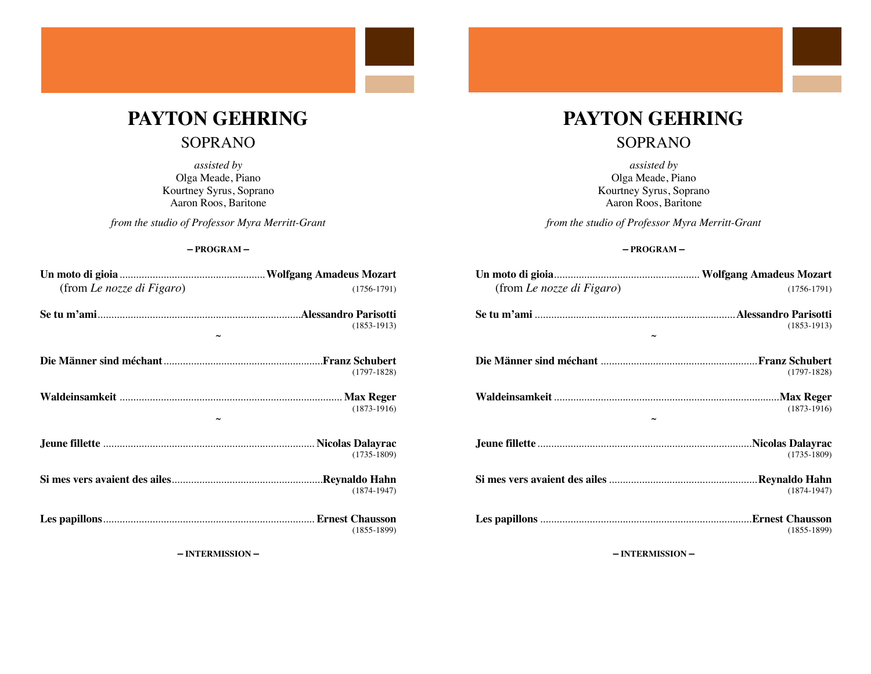# PAYTON GEHRING

### **SOPRANO**

assisted by Olga Meade, Piano Kourtney Syrus, Soprano Aaron Roos, Baritone

from the studio of Professor Myra Merritt-Grant

#### $-$ PROGRAM $-$

| (from Le nozze di Figaro) | $(1756-1791)$   |
|---------------------------|-----------------|
|                           | $(1853-1913)$   |
|                           |                 |
|                           | $(1797-1828)$   |
|                           | $(1873-1916)$   |
|                           | $(1735 - 1809)$ |
|                           | $(1874 - 1947)$ |
|                           | $(1855 - 1899)$ |

- INTERMISSION -

## PAYTON GEHRING

## **SOPRANO**

assisted by Olga Meade, Piano Kourtney Syrus, Soprano Aaron Roos, Baritone

from the studio of Professor Myra Merritt-Grant

#### $-$ PROGRAM $-$

| (from Le nozze di Figaro) | $(1756-1791)$ |
|---------------------------|---------------|
|                           | $(1853-1913)$ |
|                           |               |
|                           | $(1797-1828)$ |
|                           | $(1873-1916)$ |
|                           | $(1735-1809)$ |
|                           | $(1874-1947)$ |
|                           | $(1855-1899)$ |

- INTERMISSION -